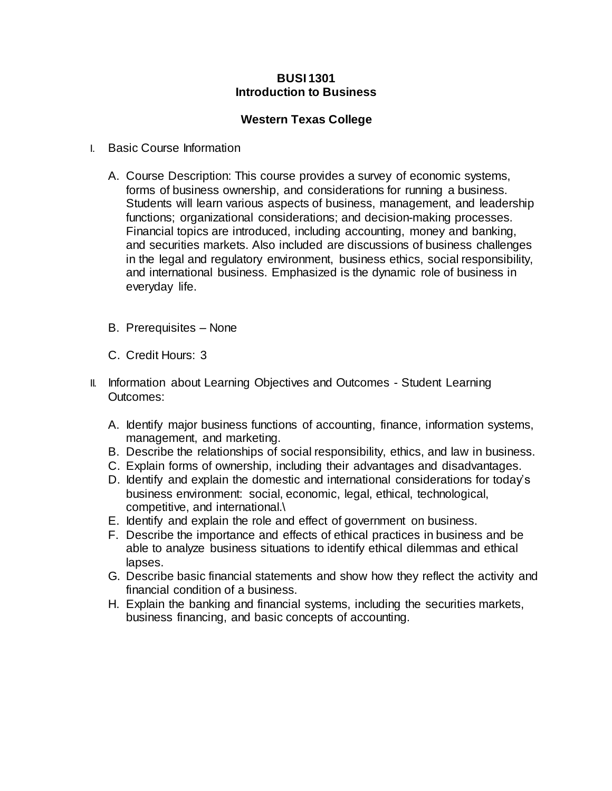## **BUSI 1301 Introduction to Business**

## **Western Texas College**

- I. Basic Course Information
	- A. Course Description: This course provides a survey of economic systems, forms of business ownership, and considerations for running a business. Students will learn various aspects of business, management, and leadership functions; organizational considerations; and decision-making processes. Financial topics are introduced, including accounting, money and banking, and securities markets. Also included are discussions of business challenges in the legal and regulatory environment, business ethics, social responsibility, and international business. Emphasized is the dynamic role of business in everyday life.
	- B. Prerequisites None
	- C. Credit Hours: 3
- II. Information about Learning Objectives and Outcomes Student Learning Outcomes:
	- A. Identify major business functions of accounting, finance, information systems, management, and marketing.
	- B. Describe the relationships of social responsibility, ethics, and law in business.
	- C. Explain forms of ownership, including their advantages and disadvantages.
	- D. Identify and explain the domestic and international considerations for today's business environment: social, economic, legal, ethical, technological, competitive, and international.\
	- E. Identify and explain the role and effect of government on business.
	- F. Describe the importance and effects of ethical practices in business and be able to analyze business situations to identify ethical dilemmas and ethical lapses.
	- G. Describe basic financial statements and show how they reflect the activity and financial condition of a business.
	- H. Explain the banking and financial systems, including the securities markets, business financing, and basic concepts of accounting.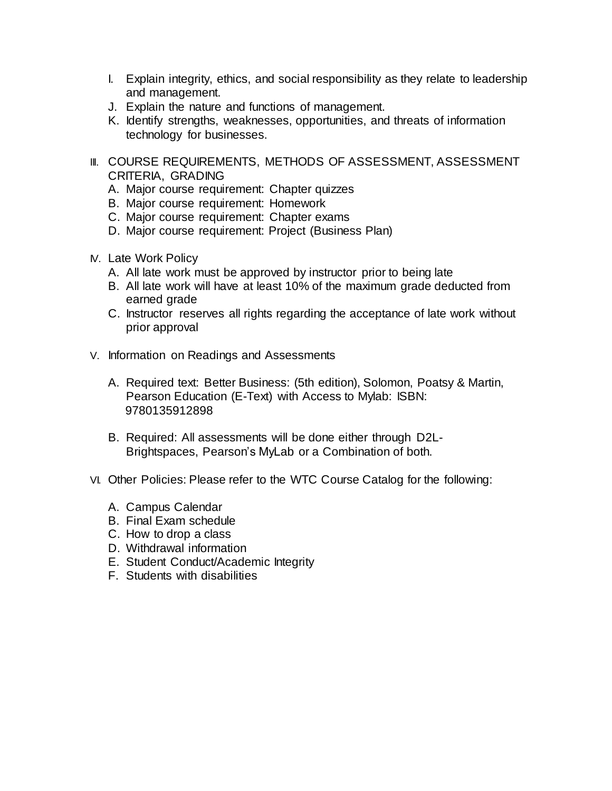- I. Explain integrity, ethics, and social responsibility as they relate to leadership and management.
- J. Explain the nature and functions of management.
- K. Identify strengths, weaknesses, opportunities, and threats of information technology for businesses.
- III. COURSE REQUIREMENTS, METHODS OF ASSESSMENT, ASSESSMENT CRITERIA, GRADING
	- A. Major course requirement: Chapter quizzes
	- B. Major course requirement: Homework
	- C. Major course requirement: Chapter exams
	- D. Major course requirement: Project (Business Plan)
- IV. Late Work Policy
	- A. All late work must be approved by instructor prior to being late
	- B. All late work will have at least 10% of the maximum grade deducted from earned grade
	- C. Instructor reserves all rights regarding the acceptance of late work without prior approval
- V. Information on Readings and Assessments
	- A. Required text: Better Business: (5th edition), Solomon, Poatsy & Martin, Pearson Education (E-Text) with Access to Mylab: ISBN: 9780135912898
	- B. Required: All assessments will be done either through D2L-Brightspaces, Pearson's MyLab or a Combination of both.
- VI. Other Policies: Please refer to the WTC Course Catalog for the following:
	- A. Campus Calendar
	- B. Final Exam schedule
	- C. How to drop a class
	- D. Withdrawal information
	- E. Student Conduct/Academic Integrity
	- F. Students with disabilities